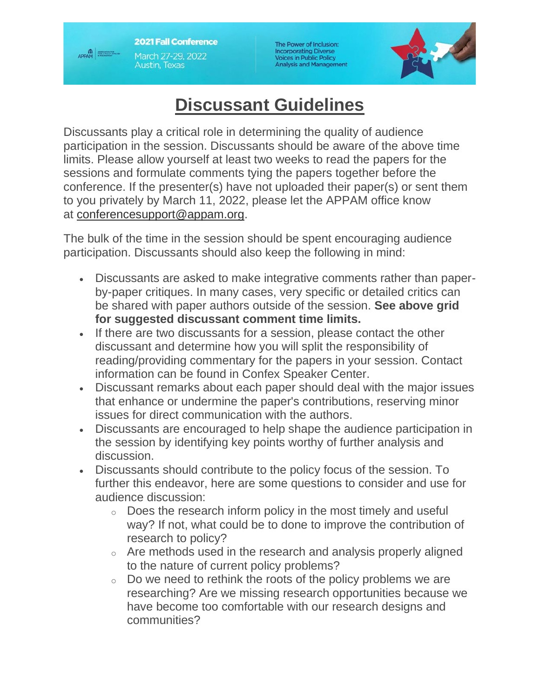**2021 Fall Conference** March 27-29, 2022 **Austin, Texas** 

**APPAM** 

The Power of Inclusion: Incorporating Diverse<br>Voices in Public Policy<br>Analysis and Management



## **Discussant Guidelines**

Discussants play a critical role in determining the quality of audience participation in the session. Discussants should be aware of the above time limits. Please allow yourself at least two weeks to read the papers for the sessions and formulate comments tying the papers together before the conference. If the presenter(s) have not uploaded their paper(s) or sent them to you privately by March 11, 2022, please let the APPAM office know at [conferencesupport@appam.org.](mailto:conferencesupport@appam.org)

The bulk of the time in the session should be spent encouraging audience participation. Discussants should also keep the following in mind:

- Discussants are asked to make integrative comments rather than paperby-paper critiques. In many cases, very specific or detailed critics can be shared with paper authors outside of the session. **See above grid for suggested discussant comment time limits.**
- If there are two discussants for a session, please contact the other discussant and determine how you will split the responsibility of reading/providing commentary for the papers in your session. Contact information can be found in Confex Speaker Center.
- Discussant remarks about each paper should deal with the major issues that enhance or undermine the paper's contributions, reserving minor issues for direct communication with the authors.
- Discussants are encouraged to help shape the audience participation in the session by identifying key points worthy of further analysis and discussion.
- Discussants should contribute to the policy focus of the session. To further this endeavor, here are some questions to consider and use for audience discussion:
	- o Does the research inform policy in the most timely and useful way? If not, what could be to done to improve the contribution of research to policy?
	- o Are methods used in the research and analysis properly aligned to the nature of current policy problems?
	- $\circ$  Do we need to rethink the roots of the policy problems we are researching? Are we missing research opportunities because we have become too comfortable with our research designs and communities?